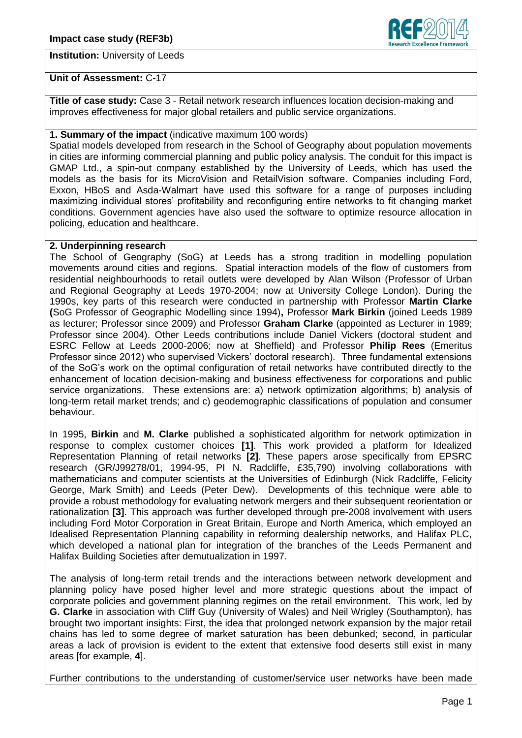## **Institution:** University of Leeds



### **Unit of Assessment:** C-17

**Title of case study:** Case 3 - Retail network research influences location decision-making and improves effectiveness for major global retailers and public service organizations.

### **1. Summary of the impact** (indicative maximum 100 words)

Spatial models developed from research in the School of Geography about population movements in cities are informing commercial planning and public policy analysis. The conduit for this impact is GMAP Ltd., a spin-out company established by the University of Leeds, which has used the models as the basis for its MicroVision and RetailVision software. Companies including Ford, Exxon, HBoS and Asda-Walmart have used this software for a range of purposes including maximizing individual stores' profitability and reconfiguring entire networks to fit changing market conditions. Government agencies have also used the software to optimize resource allocation in policing, education and healthcare.

## **2. Underpinning research**

The School of Geography (SoG) at Leeds has a strong tradition in modelling population movements around cities and regions. Spatial interaction models of the flow of customers from residential neighbourhoods to retail outlets were developed by Alan Wilson (Professor of Urban and Regional Geography at Leeds 1970-2004; now at University College London). During the 1990s, key parts of this research were conducted in partnership with Professor **Martin Clarke (**SoG Professor of Geographic Modelling since 1994)**,** Professor **Mark Birkin** (joined Leeds 1989 as lecturer; Professor since 2009) and Professor **Graham Clarke** (appointed as Lecturer in 1989; Professor since 2004). Other Leeds contributions include Daniel Vickers (doctoral student and ESRC Fellow at Leeds 2000-2006; now at Sheffield) and Professor **Philip Rees** (Emeritus Professor since 2012) who supervised Vickers' doctoral research). Three fundamental extensions of the SoG's work on the optimal configuration of retail networks have contributed directly to the enhancement of location decision-making and business effectiveness for corporations and public service organizations. These extensions are: a) network optimization algorithms; b) analysis of long-term retail market trends; and c) geodemographic classifications of population and consumer behaviour.

In 1995, **Birkin** and **M. Clarke** published a sophisticated algorithm for network optimization in response to complex customer choices **[1]**. This work provided a platform for Idealized Representation Planning of retail networks **[2]**. These papers arose specifically from EPSRC research (GR/J99278/01, 1994-95, PI N. Radcliffe, £35,790) involving collaborations with mathematicians and computer scientists at the Universities of Edinburgh (Nick Radcliffe, Felicity George, Mark Smith) and Leeds (Peter Dew). Developments of this technique were able to provide a robust methodology for evaluating network mergers and their subsequent reorientation or rationalization **[3]**. This approach was further developed through pre-2008 involvement with users including Ford Motor Corporation in Great Britain, Europe and North America, which employed an Idealised Representation Planning capability in reforming dealership networks, and Halifax PLC, which developed a national plan for integration of the branches of the Leeds Permanent and Halifax Building Societies after demutualization in 1997.

The analysis of long-term retail trends and the interactions between network development and planning policy have posed higher level and more strategic questions about the impact of corporate policies and government planning regimes on the retail environment. This work, led by **G. Clarke** in association with Cliff Guy (University of Wales) and Neil Wrigley (Southampton), has brought two important insights: First, the idea that prolonged network expansion by the major retail chains has led to some degree of market saturation has been debunked; second, in particular areas a lack of provision is evident to the extent that extensive food deserts still exist in many areas [for example, **4**].

Further contributions to the understanding of customer/service user networks have been made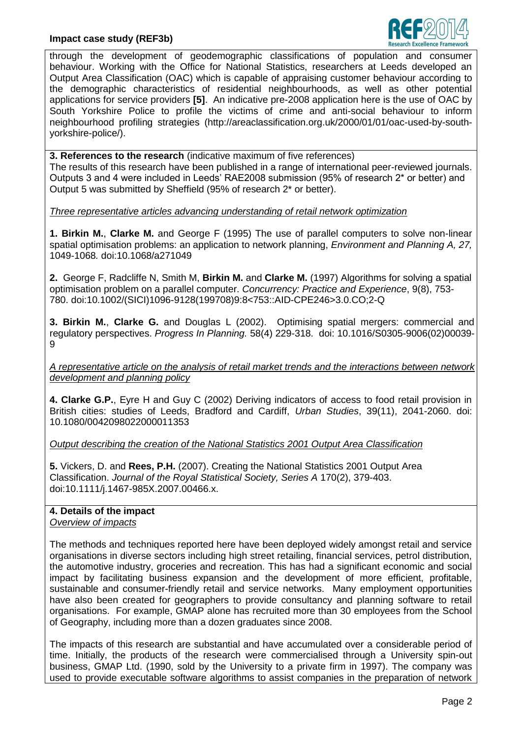

through the development of geodemographic classifications of population and consumer behaviour. Working with the Office for National Statistics, researchers at Leeds developed an Output Area Classification (OAC) which is capable of appraising customer behaviour according to the demographic characteristics of residential neighbourhoods, as well as other potential applications for service providers **[5]**. An indicative pre-2008 application here is the use of OAC by South Yorkshire Police to profile the victims of crime and anti-social behaviour to inform neighbourhood profiling strategies (http://areaclassification.org.uk/2000/01/01/oac-used-by-southyorkshire-police/).

**3. References to the research** (indicative maximum of five references) The results of this research have been published in a range of international peer-reviewed journals. Outputs 3 and 4 were included in Leeds' RAE2008 submission (95% of research 2\* or better) and Output 5 was submitted by Sheffield (95% of research 2\* or better).

*Three representative articles advancing understanding of retail network optimization* 

**1. Birkin M.**, **Clarke M.** and George F (1995) The use of parallel computers to solve non-linear spatial optimisation problems: an application to network planning, *Environment and Planning A, 27,*  1049-1068*.* doi:10.1068/a271049

**2.** George F, Radcliffe N, Smith M, **Birkin M.** and **Clarke M.** (1997) Algorithms for solving a spatial optimisation problem on a parallel computer. *Concurrency: Practice and Experience*, 9(8), 753- 780. doi:10.1002/(SICI)1096-9128(199708)9:8<753::AID-CPE246>3.0.CO;2-Q

**3. Birkin M.**, **Clarke G.** and Douglas L (2002). Optimising spatial mergers: commercial and regulatory perspectives. *Progress In Planning.* 58(4) 229-318. doi: 10.1016/S0305-9006(02)00039- 9

*A representative article on the analysis of retail market trends and the interactions between network development and planning policy*

**4. Clarke G.P.**, Eyre H and Guy C (2002) Deriving indicators of access to food retail provision in British cities: studies of Leeds, Bradford and Cardiff, *Urban Studies*, 39(11), 2041-2060. doi: 10.1080/0042098022000011353

*Output describing the creation of the National Statistics 2001 Output Area Classification*

**5.** Vickers, D. and **Rees, P.H.** (2007). Creating the National Statistics 2001 Output Area Classification. *Journal of the Royal Statistical Society, Series A* 170(2), 379-403. doi:10.1111/j.1467-985X.2007.00466.x.

# **4. Details of the impact**

*Overview of impacts*

The methods and techniques reported here have been deployed widely amongst retail and service organisations in diverse sectors including high street retailing, financial services, petrol distribution, the automotive industry, groceries and recreation. This has had a significant economic and social impact by facilitating business expansion and the development of more efficient, profitable, sustainable and consumer-friendly retail and service networks. Many employment opportunities have also been created for geographers to provide consultancy and planning software to retail organisations. For example, GMAP alone has recruited more than 30 employees from the School of Geography, including more than a dozen graduates since 2008.

The impacts of this research are substantial and have accumulated over a considerable period of time. Initially, the products of the research were commercialised through a University spin-out business, GMAP Ltd. (1990, sold by the University to a private firm in 1997). The company was used to provide executable software algorithms to assist companies in the preparation of network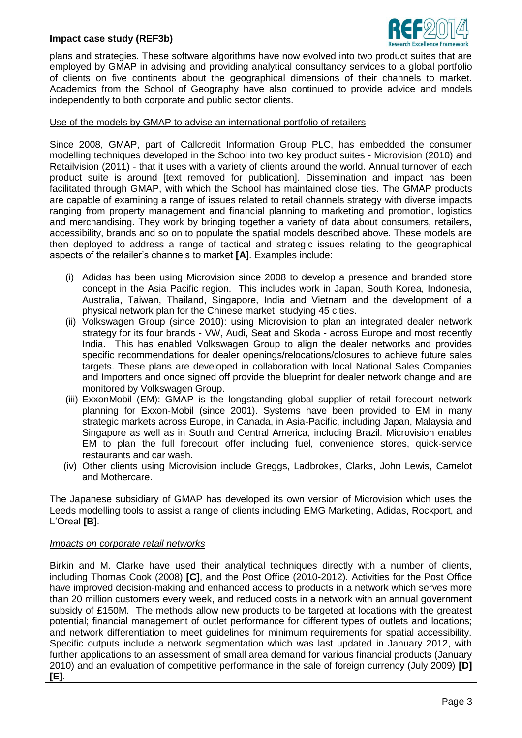

plans and strategies. These software algorithms have now evolved into two product suites that are employed by GMAP in advising and providing analytical consultancy services to a global portfolio of clients on five continents about the geographical dimensions of their channels to market. Academics from the School of Geography have also continued to provide advice and models independently to both corporate and public sector clients.

### Use of the models by GMAP to advise an international portfolio of retailers

Since 2008, GMAP, part of Callcredit Information Group PLC, has embedded the consumer modelling techniques developed in the School into two key product suites - Microvision (2010) and Retailvision (2011) - that it uses with a variety of clients around the world. Annual turnover of each product suite is around [text removed for publication]. Dissemination and impact has been facilitated through GMAP, with which the School has maintained close ties. The GMAP products are capable of examining a range of issues related to retail channels strategy with diverse impacts ranging from property management and financial planning to marketing and promotion, logistics and merchandising. They work by bringing together a variety of data about consumers, retailers, accessibility, brands and so on to populate the spatial models described above. These models are then deployed to address a range of tactical and strategic issues relating to the geographical aspects of the retailer's channels to market **[A]**. Examples include:

- (i) Adidas has been using Microvision since 2008 to develop a presence and branded store concept in the Asia Pacific region. This includes work in Japan, South Korea, Indonesia, Australia, Taiwan, Thailand, Singapore, India and Vietnam and the development of a physical network plan for the Chinese market, studying 45 cities.
- (ii) Volkswagen Group (since 2010): using Microvision to plan an integrated dealer network strategy for its four brands - VW, Audi, Seat and Skoda - across Europe and most recently India. This has enabled Volkswagen Group to align the dealer networks and provides specific recommendations for dealer openings/relocations/closures to achieve future sales targets. These plans are developed in collaboration with local National Sales Companies and Importers and once signed off provide the blueprint for dealer network change and are monitored by Volkswagen Group.
- (iii) ExxonMobil (EM): GMAP is the longstanding global supplier of retail forecourt network planning for Exxon-Mobil (since 2001). Systems have been provided to EM in many strategic markets across Europe, in Canada, in Asia-Pacific, including Japan, Malaysia and Singapore as well as in South and Central America, including Brazil. Microvision enables EM to plan the full forecourt offer including fuel, convenience stores, quick-service restaurants and car wash.
- (iv) Other clients using Microvision include Greggs, Ladbrokes, Clarks, John Lewis, Camelot and Mothercare.

The Japanese subsidiary of GMAP has developed its own version of Microvision which uses the Leeds modelling tools to assist a range of clients including EMG Marketing, Adidas, Rockport, and L'Oreal **[B]**.

#### *Impacts on corporate retail networks*

Birkin and M. Clarke have used their analytical techniques directly with a number of clients, including Thomas Cook (2008) **[C]**, and the Post Office (2010-2012). Activities for the Post Office have improved decision-making and enhanced access to products in a network which serves more than 20 million customers every week, and reduced costs in a network with an annual government subsidy of £150M. The methods allow new products to be targeted at locations with the greatest potential; financial management of outlet performance for different types of outlets and locations; and network differentiation to meet guidelines for minimum requirements for spatial accessibility. Specific outputs include a network segmentation which was last updated in January 2012, with further applications to an assessment of small area demand for various financial products (January 2010) and an evaluation of competitive performance in the sale of foreign currency (July 2009) **[D] [E]**.